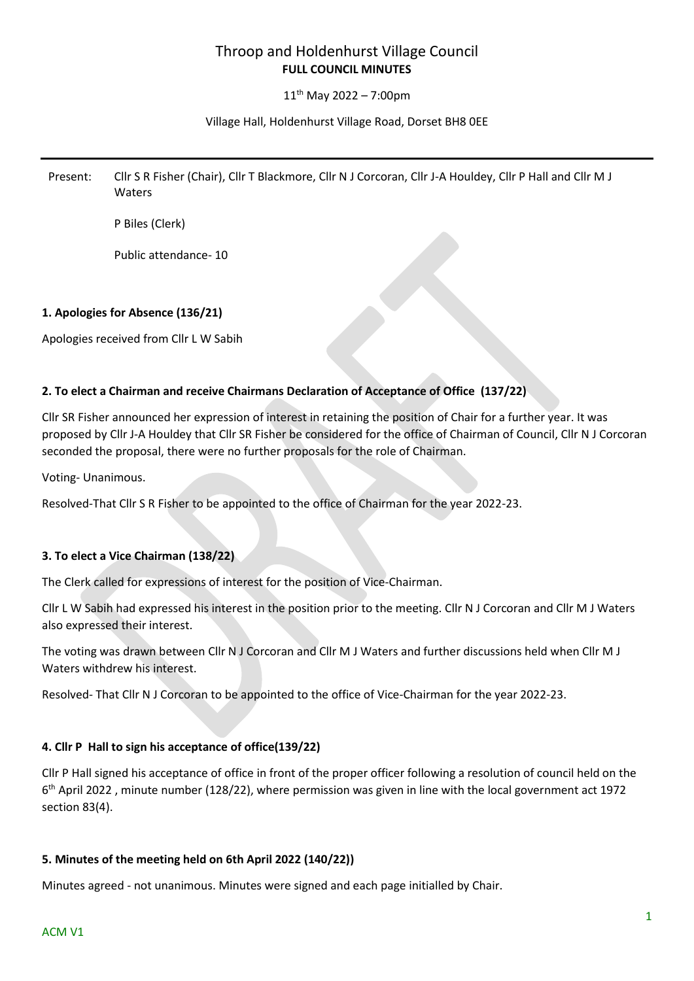# Throop and Holdenhurst Village Council **FULL COUNCIL MINUTES**

# $11^{th}$  May 2022 – 7:00pm

# Village Hall, Holdenhurst Village Road, Dorset BH8 0EE

Present: Cllr S R Fisher (Chair), Cllr T Blackmore, Cllr N J Corcoran, Cllr J-A Houldey, Cllr P Hall and Cllr M J Waters

P Biles (Clerk)

Public attendance- 10

# **1. Apologies for Absence (136/21)**

Apologies received from Cllr L W Sabih

# **2. To elect a Chairman and receive Chairmans Declaration of Acceptance of Office (137/22)**

Cllr SR Fisher announced her expression of interest in retaining the position of Chair for a further year. It was proposed by Cllr J-A Houldey that Cllr SR Fisher be considered for the office of Chairman of Council, Cllr N J Corcoran seconded the proposal, there were no further proposals for the role of Chairman.

Voting- Unanimous.

Resolved-That Cllr S R Fisher to be appointed to the office of Chairman for the year 2022-23.

# **3. To elect a Vice Chairman (138/22)**

The Clerk called for expressions of interest for the position of Vice-Chairman.

Cllr L W Sabih had expressed his interest in the position prior to the meeting. Cllr N J Corcoran and Cllr M J Waters also expressed their interest.

The voting was drawn between Cllr N J Corcoran and Cllr M J Waters and further discussions held when Cllr M J Waters withdrew his interest.

Resolved- That Cllr N J Corcoran to be appointed to the office of Vice-Chairman for the year 2022-23.

# **4. Cllr P Hall to sign his acceptance of office(139/22)**

Cllr P Hall signed his acceptance of office in front of the proper officer following a resolution of council held on the 6<sup>th</sup> April 2022, minute number (128/22), where permission was given in line with the local government act 1972 section 83(4).

# **5. Minutes of the meeting held on 6th April 2022 (140/22))**

Minutes agreed - not unanimous. Minutes were signed and each page initialled by Chair.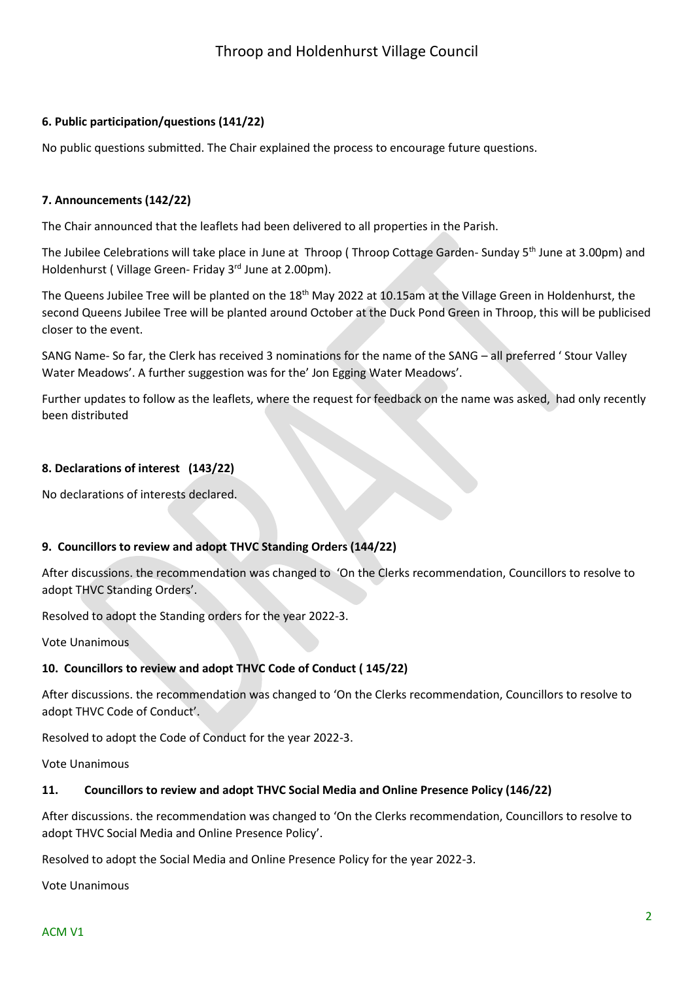# **6. Public participation/questions (141/22)**

No public questions submitted. The Chair explained the process to encourage future questions.

# **7. Announcements (142/22)**

The Chair announced that the leaflets had been delivered to all properties in the Parish.

The Jubilee Celebrations will take place in June at Throop (Throop Cottage Garden-Sunday 5<sup>th</sup> June at 3.00pm) and Holdenhurst ( Village Green- Friday 3<sup>rd</sup> June at 2.00pm).

The Queens Jubilee Tree will be planted on the 18<sup>th</sup> May 2022 at 10.15am at the Village Green in Holdenhurst, the second Queens Jubilee Tree will be planted around October at the Duck Pond Green in Throop, this will be publicised closer to the event.

SANG Name- So far, the Clerk has received 3 nominations for the name of the SANG – all preferred ' Stour Valley Water Meadows'. A further suggestion was for the' Jon Egging Water Meadows'.

Further updates to follow as the leaflets, where the request for feedback on the name was asked, had only recently been distributed

# **8. Declarations of interest (143/22)**

No declarations of interests declared.

# **9. Councillors to review and adopt THVC Standing Orders (144/22)**

After discussions. the recommendation was changed to 'On the Clerks recommendation, Councillors to resolve to adopt THVC Standing Orders'.

Resolved to adopt the Standing orders for the year 2022-3.

Vote Unanimous

# **10. Councillors to review and adopt THVC Code of Conduct ( 145/22)**

After discussions. the recommendation was changed to 'On the Clerks recommendation, Councillors to resolve to adopt THVC Code of Conduct'.

Resolved to adopt the Code of Conduct for the year 2022-3.

Vote Unanimous

# **11. Councillors to review and adopt THVC Social Media and Online Presence Policy (146/22)**

After discussions. the recommendation was changed to 'On the Clerks recommendation, Councillors to resolve to adopt THVC Social Media and Online Presence Policy'.

Resolved to adopt the Social Media and Online Presence Policy for the year 2022-3.

Vote Unanimous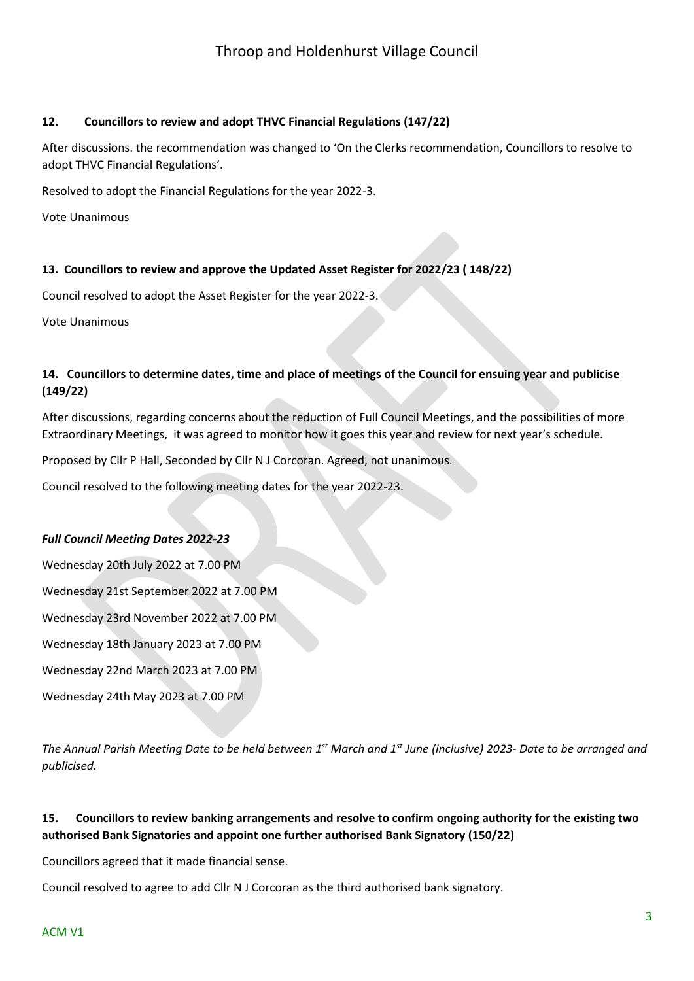# **12. Councillors to review and adopt THVC Financial Regulations (147/22)**

After discussions. the recommendation was changed to 'On the Clerks recommendation, Councillors to resolve to adopt THVC Financial Regulations'.

Resolved to adopt the Financial Regulations for the year 2022-3.

Vote Unanimous

# **13. Councillors to review and approve the Updated Asset Register for 2022/23 ( 148/22)**

Council resolved to adopt the Asset Register for the year 2022-3.

Vote Unanimous

# **14. Councillors to determine dates, time and place of meetings of the Council for ensuing year and publicise (149/22)**

After discussions, regarding concerns about the reduction of Full Council Meetings, and the possibilities of more Extraordinary Meetings, it was agreed to monitor how it goes this year and review for next year's schedule.

Proposed by Cllr P Hall, Seconded by Cllr N J Corcoran. Agreed, not unanimous.

Council resolved to the following meeting dates for the year 2022-23.

#### *Full Council Meeting Dates 2022-23*

Wednesday 20th July 2022 at 7.00 PM Wednesday 21st September 2022 at 7.00 PM Wednesday 23rd November 2022 at 7.00 PM Wednesday 18th January 2023 at 7.00 PM Wednesday 22nd March 2023 at 7.00 PM Wednesday 24th May 2023 at 7.00 PM

*The Annual Parish Meeting Date to be held between 1st March and 1st June (inclusive) 2023- Date to be arranged and publicised.*

# **15. Councillors to review banking arrangements and resolve to confirm ongoing authority for the existing two authorised Bank Signatories and appoint one further authorised Bank Signatory (150/22)**

Councillors agreed that it made financial sense.

Council resolved to agree to add Cllr N J Corcoran as the third authorised bank signatory.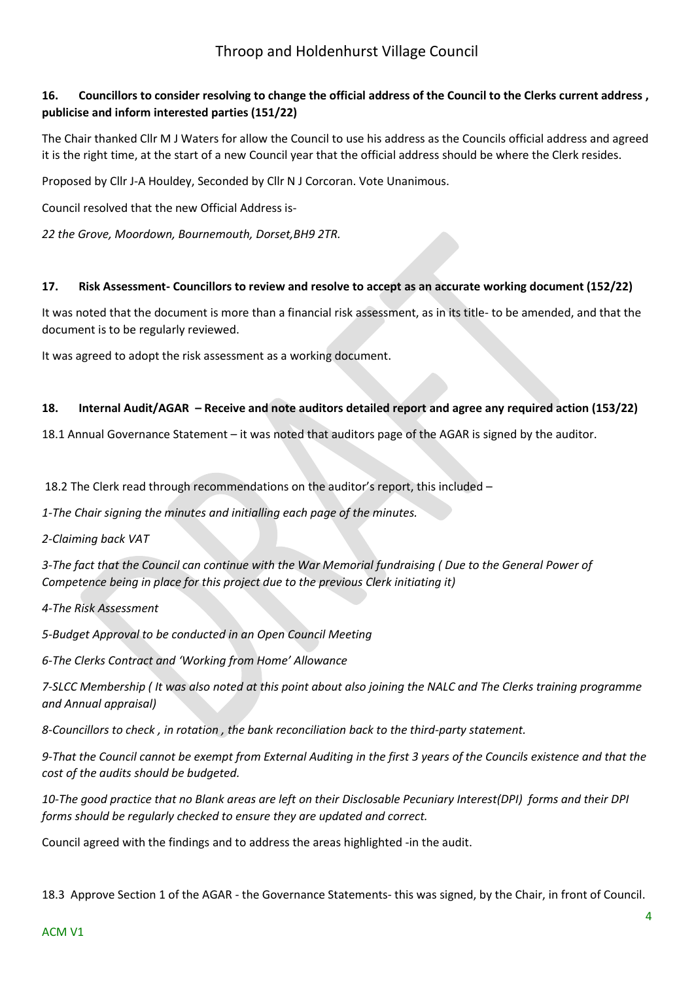# Throop and Holdenhurst Village Council

# **16. Councillors to consider resolving to change the official address of the Council to the Clerks current address , publicise and inform interested parties (151/22)**

The Chair thanked Cllr M J Waters for allow the Council to use his address as the Councils official address and agreed it is the right time, at the start of a new Council year that the official address should be where the Clerk resides.

Proposed by Cllr J-A Houldey, Seconded by Cllr N J Corcoran. Vote Unanimous.

Council resolved that the new Official Address is-

*22 the Grove, Moordown, Bournemouth, Dorset,BH9 2TR.*

#### **17. Risk Assessment- Councillors to review and resolve to accept as an accurate working document (152/22)**

It was noted that the document is more than a financial risk assessment, as in its title- to be amended, and that the document is to be regularly reviewed.

It was agreed to adopt the risk assessment as a working document.

#### **18. Internal Audit/AGAR – Receive and note auditors detailed report and agree any required action (153/22)**

18.1 Annual Governance Statement – it was noted that auditors page of the AGAR is signed by the auditor.

18.2 The Clerk read through recommendations on the auditor's report, this included –

*1-The Chair signing the minutes and initialling each page of the minutes.*

*2-Claiming back VAT*

*3-The fact that the Council can continue with the War Memorial fundraising ( Due to the General Power of Competence being in place for this project due to the previous Clerk initiating it)*

#### *4-The Risk Assessment*

*5-Budget Approval to be conducted in an Open Council Meeting*

*6-The Clerks Contract and 'Working from Home' Allowance* 

*7-SLCC Membership ( It was also noted at this point about also joining the NALC and The Clerks training programme and Annual appraisal)*

*8-Councillors to check , in rotation , the bank reconciliation back to the third-party statement.*

*9-That the Council cannot be exempt from External Auditing in the first 3 years of the Councils existence and that the cost of the audits should be budgeted.*

*10-The good practice that no Blank areas are left on their Disclosable Pecuniary Interest(DPI) forms and their DPI forms should be regularly checked to ensure they are updated and correct.*

Council agreed with the findings and to address the areas highlighted -in the audit.

18.3 Approve Section 1 of the AGAR - the Governance Statements- this was signed, by the Chair, in front of Council.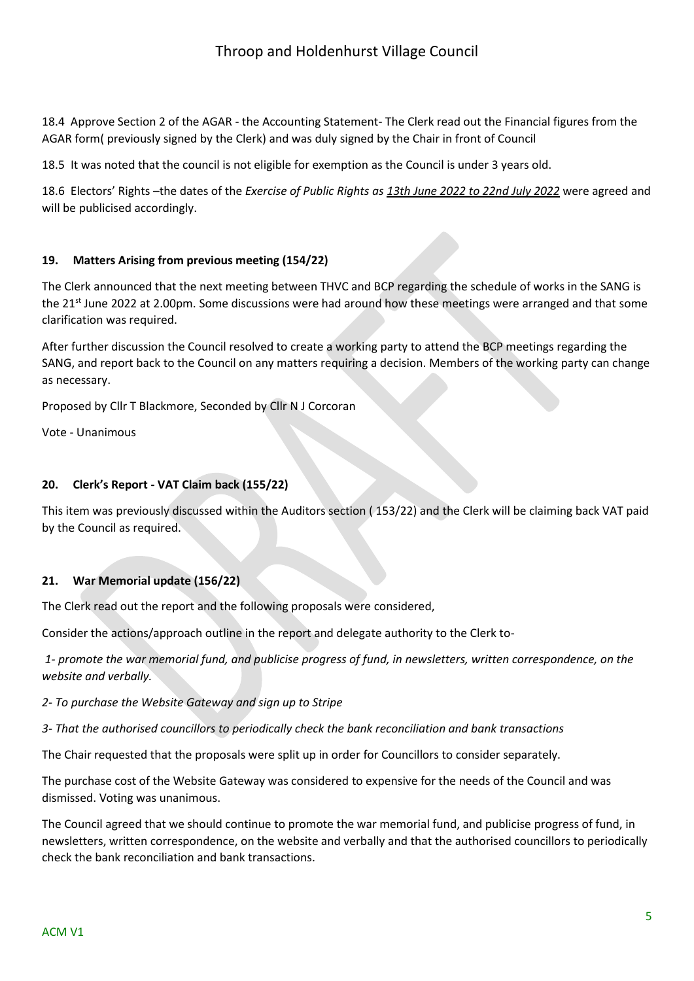18.4 Approve Section 2 of the AGAR - the Accounting Statement- The Clerk read out the Financial figures from the AGAR form( previously signed by the Clerk) and was duly signed by the Chair in front of Council

18.5 It was noted that the council is not eligible for exemption as the Council is under 3 years old.

18.6 Electors' Rights –the dates of the *Exercise of Public Rights as 13th June 2022 to 22nd July 2022* were agreed and will be publicised accordingly.

#### **19. Matters Arising from previous meeting (154/22)**

The Clerk announced that the next meeting between THVC and BCP regarding the schedule of works in the SANG is the 21<sup>st</sup> June 2022 at 2.00pm. Some discussions were had around how these meetings were arranged and that some clarification was required.

After further discussion the Council resolved to create a working party to attend the BCP meetings regarding the SANG, and report back to the Council on any matters requiring a decision. Members of the working party can change as necessary.

Proposed by Cllr T Blackmore, Seconded by Cllr N J Corcoran

Vote - Unanimous

#### **20. Clerk's Report - VAT Claim back (155/22)**

This item was previously discussed within the Auditors section ( 153/22) and the Clerk will be claiming back VAT paid by the Council as required.

# **21. War Memorial update (156/22)**

The Clerk read out the report and the following proposals were considered,

Consider the actions/approach outline in the report and delegate authority to the Clerk to-

*1- promote the war memorial fund, and publicise progress of fund, in newsletters, written correspondence, on the website and verbally.*

*2- To purchase the Website Gateway and sign up to Stripe*

*3- That the authorised councillors to periodically check the bank reconciliation and bank transactions*

The Chair requested that the proposals were split up in order for Councillors to consider separately.

The purchase cost of the Website Gateway was considered to expensive for the needs of the Council and was dismissed. Voting was unanimous.

The Council agreed that we should continue to promote the war memorial fund, and publicise progress of fund, in newsletters, written correspondence, on the website and verbally and that the authorised councillors to periodically check the bank reconciliation and bank transactions.